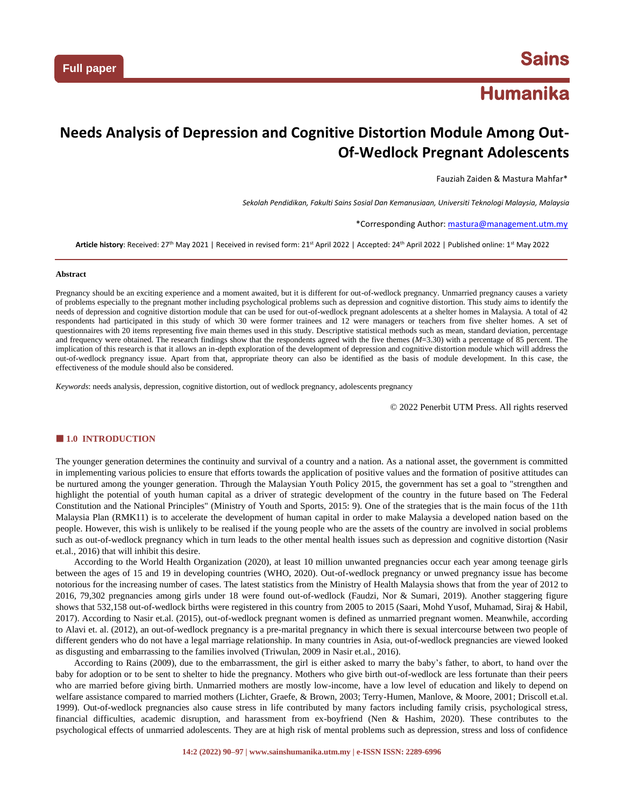# **Humanika**

## **Needs Analysis of Depression and Cognitive Distortion Module Among Out-Of-Wedlock Pregnant Adolescents**

Fauziah Zaiden & Mastura Mahfar\*

*Sekolah Pendidikan, Fakulti Sains Sosial Dan Kemanusiaan, Universiti Teknologi Malaysia, Malaysia*

\*Corresponding Author[: mastura@management.utm.my](mailto:mastura@management.utm.my)

**Article history**: Received: 27th May 2021 | Received in revised form: 21st April 2022 | Accepted: 24th April 2022 | Published online: 1st May 2022

#### **Abstract**

Pregnancy should be an exciting experience and a moment awaited, but it is different for out-of-wedlock pregnancy. Unmarried pregnancy causes a variety of problems especially to the pregnant mother including psychological problems such as depression and cognitive distortion. This study aims to identify the needs of depression and cognitive distortion module that can be used for out-of-wedlock pregnant adolescents at a shelter homes in Malaysia. A total of 42 respondents had participated in this study of which 30 were former trainees and 12 were managers or teachers from five shelter homes. A set of questionnaires with 20 items representing five main themes used in this study. Descriptive statistical methods such as mean, standard deviation, percentage and frequency were obtained. The research findings show that the respondents agreed with the five themes (*M*=3.30) with a percentage of 85 percent. The implication of this research is that it allows an in-depth exploration of the development of depression and cognitive distortion module which will address the out-of-wedlock pregnancy issue. Apart from that, appropriate theory can also be identified as the basis of module development. In this case, the effectiveness of the module should also be considered.

*Keywords*: needs analysis, depression, cognitive distortion, out of wedlock pregnancy, adolescents pregnancy

© 2022 Penerbit UTM Press. All rights reserved

## **1.0 INTRODUCTION**

The younger generation determines the continuity and survival of a country and a nation. As a national asset, the government is committed in implementing various policies to ensure that efforts towards the application of positive values and the formation of positive attitudes can be nurtured among the younger generation. Through the Malaysian Youth Policy 2015, the government has set a goal to "strengthen and highlight the potential of youth human capital as a driver of strategic development of the country in the future based on The Federal Constitution and the National Principles" (Ministry of Youth and Sports, 2015: 9). One of the strategies that is the main focus of the 11th Malaysia Plan (RMK11) is to accelerate the development of human capital in order to make Malaysia a developed nation based on the people. However, this wish is unlikely to be realised if the young people who are the assets of the country are involved in social problems such as out-of-wedlock pregnancy which in turn leads to the other mental health issues such as depression and cognitive distortion (Nasir et.al., 2016) that will inhibit this desire.

According to the World Health Organization (2020), at least 10 million unwanted pregnancies occur each year among teenage girls between the ages of 15 and 19 in developing countries (WHO, 2020). Out-of-wedlock pregnancy or unwed pregnancy issue has become notorious for the increasing number of cases. The latest statistics from the Ministry of Health Malaysia shows that from the year of 2012 to 2016, 79,302 pregnancies among girls under 18 were found out-of-wedlock (Faudzi, Nor & Sumari, 2019). Another staggering figure shows that 532,158 out-of-wedlock births were registered in this country from 2005 to 2015 (Saari, Mohd Yusof, Muhamad, Siraj & Habil, 2017). According to Nasir et.al. (2015), out-of-wedlock pregnant women is defined as unmarried pregnant women. Meanwhile, according to Alavi et. al. (2012), an out-of-wedlock pregnancy is a pre-marital pregnancy in which there is sexual intercourse between two people of different genders who do not have a legal marriage relationship. In many countries in Asia, out-of-wedlock pregnancies are viewed looked as disgusting and embarrassing to the families involved (Triwulan, 2009 in Nasir et.al., 2016).

According to Rains (2009), due to the embarrassment, the girl is either asked to marry the baby's father, to abort, to hand over the baby for adoption or to be sent to shelter to hide the pregnancy. Mothers who give birth out-of-wedlock are less fortunate than their peers who are married before giving birth. Unmarried mothers are mostly low-income, have a low level of education and likely to depend on welfare assistance compared to married mothers (Lichter, Graefe, & Brown, 2003; Terry-Humen, Manlove, & Moore, 2001; Driscoll et.al. 1999). Out-of-wedlock pregnancies also cause stress in life contributed by many factors including family crisis, psychological stress, financial difficulties, academic disruption, and harassment from ex-boyfriend (Nen & Hashim, 2020). These contributes to the psychological effects of unmarried adolescents. They are at high risk of mental problems such as depression, stress and loss of confidence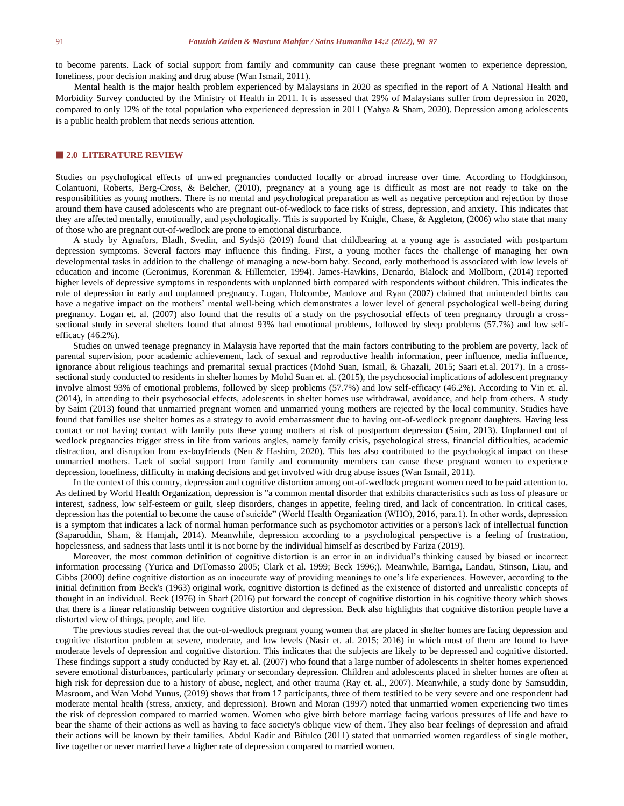to become parents. Lack of social support from family and community can cause these pregnant women to experience depression, loneliness, poor decision making and drug abuse (Wan Ismail, 2011).

Mental health is the major health problem experienced by Malaysians in 2020 as specified in the report of A National Health and Morbidity Survey conducted by the Ministry of Health in 2011. It is assessed that 29% of Malaysians suffer from depression in 2020, compared to only 12% of the total population who experienced depression in 2011 (Yahya & Sham, 2020). Depression among adolescents is a public health problem that needs serious attention.

#### **2.0 LITERATURE REVIEW**

Studies on psychological effects of unwed pregnancies conducted locally or abroad increase over time. According to Hodgkinson, Colantuoni, Roberts, Berg-Cross, & Belcher, (2010), pregnancy at a young age is difficult as most are not ready to take on the responsibilities as young mothers. There is no mental and psychological preparation as well as negative perception and rejection by those around them have caused adolescents who are pregnant out-of-wedlock to face risks of stress, depression, and anxiety. This indicates that they are affected mentally, emotionally, and psychologically. This is supported by Knight, Chase, & Aggleton, (2006) who state that many of those who are pregnant out-of-wedlock are prone to emotional disturbance.

A study by Agnafors, Bladh, Svedin, and Sydsjö (2019) found that childbearing at a young age is associated with postpartum depression symptoms. Several factors may influence this finding. First, a young mother faces the challenge of managing her own developmental tasks in addition to the challenge of managing a new-born baby. Second, early motherhood is associated with low levels of education and income (Geronimus, Korenman & Hillemeier, 1994). James-Hawkins, Denardo, Blalock and Mollborn, (2014) reported higher levels of depressive symptoms in respondents with unplanned birth compared with respondents without children. This indicates the role of depression in early and unplanned pregnancy. Logan, Holcombe, Manlove and Ryan (2007) claimed that unintended births can have a negative impact on the mothers' mental well-being which demonstrates a lower level of general psychological well-being during pregnancy. Logan et. al. (2007) also found that the results of a study on the psychosocial effects of teen pregnancy through a crosssectional study in several shelters found that almost 93% had emotional problems, followed by sleep problems (57.7%) and low selfefficacy (46.2%).

Studies on unwed teenage pregnancy in Malaysia have reported that the main factors contributing to the problem are poverty, lack of parental supervision, poor academic achievement, lack of sexual and reproductive health information, peer influence, media influence, ignorance about religious teachings and premarital sexual practices (Mohd Suan, Ismail, & Ghazali, 2015; Saari et.al. 2017). In a crosssectional study conducted to residents in shelter homes by Mohd Suan et. al. (2015), the psychosocial implications of adolescent pregnancy involve almost 93% of emotional problems, followed by sleep problems (57.7%) and low self-efficacy (46.2%). According to Vin et. al. (2014), in attending to their psychosocial effects, adolescents in shelter homes use withdrawal, avoidance, and help from others. A study by Saim (2013) found that unmarried pregnant women and unmarried young mothers are rejected by the local community. Studies have found that families use shelter homes as a strategy to avoid embarrassment due to having out-of-wedlock pregnant daughters. Having less contact or not having contact with family puts these young mothers at risk of postpartum depression (Saim, 2013). Unplanned out of wedlock pregnancies trigger stress in life from various angles, namely family crisis, psychological stress, financial difficulties, academic distraction, and disruption from ex-boyfriends (Nen & Hashim, 2020). This has also contributed to the psychological impact on these unmarried mothers. Lack of social support from family and community members can cause these pregnant women to experience depression, loneliness, difficulty in making decisions and get involved with drug abuse issues (Wan Ismail, 2011).

In the context of this country, depression and cognitive distortion among out-of-wedlock pregnant women need to be paid attention to. As defined by World Health Organization, depression is "a common mental disorder that exhibits characteristics such as loss of pleasure or interest, sadness, low self-esteem or guilt, sleep disorders, changes in appetite, feeling tired, and lack of concentration. In critical cases, depression has the potential to become the cause of suicide" (World Health Organization (WHO), 2016, para.1). In other words, depression is a symptom that indicates a lack of normal human performance such as psychomotor activities or a person's lack of intellectual function (Saparuddin, Sham, & Hamjah, 2014). Meanwhile, depression according to a psychological perspective is a feeling of frustration, hopelessness, and sadness that lasts until it is not borne by the individual himself as described by Fariza (2019).

Moreover, the most common definition of cognitive distortion is an error in an individual's thinking caused by biased or incorrect information processing (Yurica and DiTomasso 2005; Clark et al. 1999; Beck 1996;). Meanwhile, Barriga, Landau, Stinson, Liau, and Gibbs (2000) define cognitive distortion as an inaccurate way of providing meanings to one's life experiences. However, according to the initial definition from Beck's (1963) original work, cognitive distortion is defined as the existence of distorted and unrealistic concepts of thought in an individual. Beck (1976) in Sharf (2016) put forward the concept of cognitive distortion in his cognitive theory which shows that there is a linear relationship between cognitive distortion and depression. Beck also highlights that cognitive distortion people have a distorted view of things, people, and life.

The previous studies reveal that the out-of-wedlock pregnant young women that are placed in shelter homes are facing depression and cognitive distortion problem at severe, moderate, and low levels (Nasir et. al. 2015; 2016) in which most of them are found to have moderate levels of depression and cognitive distortion. This indicates that the subjects are likely to be depressed and cognitive distorted. These findings support a study conducted by Ray et. al. (2007) who found that a large number of adolescents in shelter homes experienced severe emotional disturbances, particularly primary or secondary depression. Children and adolescents placed in shelter homes are often at high risk for depression due to a history of abuse, neglect, and other trauma (Ray et. al., 2007). Meanwhile, a study done by Samsuddin, Masroom, and Wan Mohd Yunus, (2019) shows that from 17 participants, three of them testified to be very severe and one respondent had moderate mental health (stress, anxiety, and depression). Brown and Moran (1997) noted that unmarried women experiencing two times the risk of depression compared to married women. Women who give birth before marriage facing various pressures of life and have to bear the shame of their actions as well as having to face society's oblique view of them. They also bear feelings of depression and afraid their actions will be known by their families. Abdul Kadir and Bifulco (2011) stated that unmarried women regardless of single mother, live together or never married have a higher rate of depression compared to married women.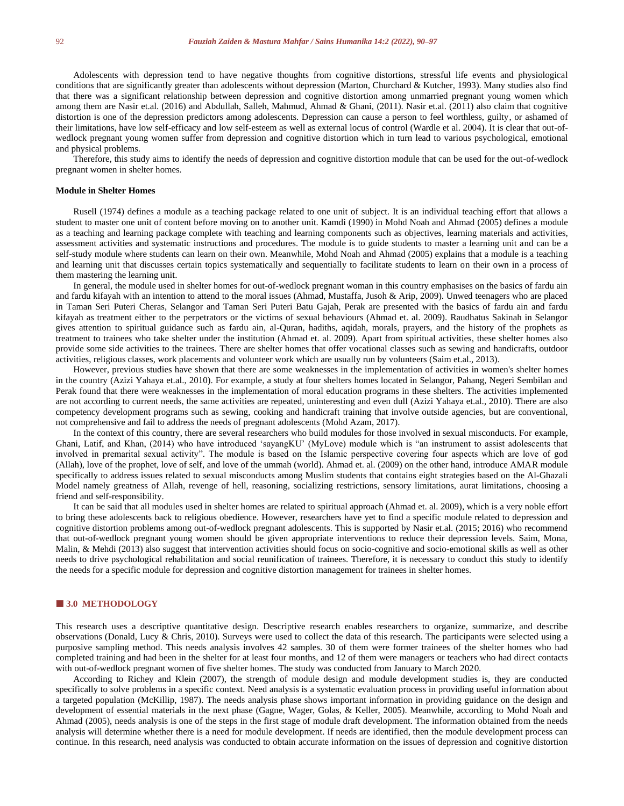Adolescents with depression tend to have negative thoughts from cognitive distortions, stressful life events and physiological conditions that are significantly greater than adolescents without depression (Marton, Churchard & Kutcher, 1993). Many studies also find that there was a significant relationship between depression and cognitive distortion among unmarried pregnant young women which among them are Nasir et.al. (2016) and Abdullah, Salleh, Mahmud, Ahmad & Ghani, (2011). Nasir et.al. (2011) also claim that cognitive distortion is one of the depression predictors among adolescents. Depression can cause a person to feel worthless, guilty, or ashamed of their limitations, have low self-efficacy and low self-esteem as well as external locus of control (Wardle et al. 2004). It is clear that out-ofwedlock pregnant young women suffer from depression and cognitive distortion which in turn lead to various psychological, emotional and physical problems.

Therefore, this study aims to identify the needs of depression and cognitive distortion module that can be used for the out-of-wedlock pregnant women in shelter homes.

#### **Module in Shelter Homes**

Rusell (1974) defines a module as a teaching package related to one unit of subject. It is an individual teaching effort that allows a student to master one unit of content before moving on to another unit. Kamdi (1990) in Mohd Noah and Ahmad (2005) defines a module as a teaching and learning package complete with teaching and learning components such as objectives, learning materials and activities, assessment activities and systematic instructions and procedures. The module is to guide students to master a learning unit and can be a self-study module where students can learn on their own. Meanwhile, Mohd Noah and Ahmad (2005) explains that a module is a teaching and learning unit that discusses certain topics systematically and sequentially to facilitate students to learn on their own in a process of them mastering the learning unit.

In general, the module used in shelter homes for out-of-wedlock pregnant woman in this country emphasises on the basics of fardu ain and fardu kifayah with an intention to attend to the moral issues (Ahmad, Mustaffa, Jusoh & Arip, 2009). Unwed teenagers who are placed in Taman Seri Puteri Cheras, Selangor and Taman Seri Puteri Batu Gajah, Perak are presented with the basics of fardu ain and fardu kifayah as treatment either to the perpetrators or the victims of sexual behaviours (Ahmad et. al. 2009). Raudhatus Sakinah in Selangor gives attention to spiritual guidance such as fardu ain, al-Quran, hadiths, aqidah, morals, prayers, and the history of the prophets as treatment to trainees who take shelter under the institution (Ahmad et. al. 2009). Apart from spiritual activities, these shelter homes also provide some side activities to the trainees. There are shelter homes that offer vocational classes such as sewing and handicrafts, outdoor activities, religious classes, work placements and volunteer work which are usually run by volunteers (Saim et.al., 2013).

However, previous studies have shown that there are some weaknesses in the implementation of activities in women's shelter homes in the country (Azizi Yahaya et.al., 2010). For example, a study at four shelters homes located in Selangor, Pahang, Negeri Sembilan and Perak found that there were weaknesses in the implementation of moral education programs in these shelters. The activities implemented are not according to current needs, the same activities are repeated, uninteresting and even dull (Azizi Yahaya et.al., 2010). There are also competency development programs such as sewing, cooking and handicraft training that involve outside agencies, but are conventional, not comprehensive and fail to address the needs of pregnant adolescents (Mohd Azam, 2017).

In the context of this country, there are several researchers who build modules for those involved in sexual misconducts. For example, Ghani, Latif, and Khan, (2014) who have introduced 'sayangKU' (MyLove) module which is "an instrument to assist adolescents that involved in premarital sexual activity". The module is based on the Islamic perspective covering four aspects which are love of god (Allah), love of the prophet, love of self, and love of the ummah (world). Ahmad et. al. (2009) on the other hand, introduce AMAR module specifically to address issues related to sexual misconducts among Muslim students that contains eight strategies based on the Al-Ghazali Model namely greatness of Allah, revenge of hell, reasoning, socializing restrictions, sensory limitations, aurat limitations, choosing a friend and self-responsibility.

It can be said that all modules used in shelter homes are related to spiritual approach (Ahmad et. al. 2009), which is a very noble effort to bring these adolescents back to religious obedience. However, researchers have yet to find a specific module related to depression and cognitive distortion problems among out-of-wedlock pregnant adolescents. This is supported by Nasir et.al. (2015; 2016) who recommend that out-of-wedlock pregnant young women should be given appropriate interventions to reduce their depression levels. Saim, Mona, Malin, & Mehdi (2013) also suggest that intervention activities should focus on socio-cognitive and socio-emotional skills as well as other needs to drive psychological rehabilitation and social reunification of trainees. Therefore, it is necessary to conduct this study to identify the needs for a specific module for depression and cognitive distortion management for trainees in shelter homes.

#### **3.0 METHODOLOGY**

This research uses a descriptive quantitative design. Descriptive research enables researchers to organize, summarize, and describe observations (Donald, Lucy & Chris, 2010). Surveys were used to collect the data of this research. The participants were selected using a purposive sampling method. This needs analysis involves 42 samples. 30 of them were former trainees of the shelter homes who had completed training and had been in the shelter for at least four months, and 12 of them were managers or teachers who had direct contacts with out-of-wedlock pregnant women of five shelter homes. The study was conducted from January to March 2020.

According to Richey and Klein (2007), the strength of module design and module development studies is, they are conducted specifically to solve problems in a specific context. Need analysis is a systematic evaluation process in providing useful information about a targeted population (McKillip, 1987). The needs analysis phase shows important information in providing guidance on the design and development of essential materials in the next phase (Gagne, Wager, Golas, & Keller, 2005). Meanwhile, according to Mohd Noah and Ahmad (2005), needs analysis is one of the steps in the first stage of module draft development. The information obtained from the needs analysis will determine whether there is a need for module development. If needs are identified, then the module development process can continue. In this research, need analysis was conducted to obtain accurate information on the issues of depression and cognitive distortion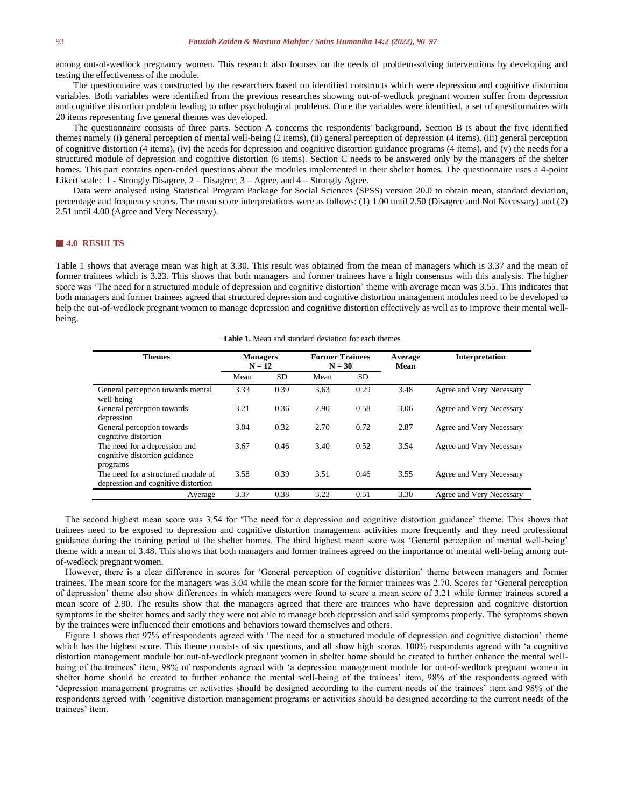among out-of-wedlock pregnancy women. This research also focuses on the needs of problem-solving interventions by developing and testing the effectiveness of the module.

The questionnaire was constructed by the researchers based on identified constructs which were depression and cognitive distortion variables. Both variables were identified from the previous researches showing out-of-wedlock pregnant women suffer from depression and cognitive distortion problem leading to other psychological problems. Once the variables were identified, a set of questionnaires with 20 items representing five general themes was developed.

The questionnaire consists of three parts. Section A concerns the respondents' background, Section B is about the five identified themes namely (i) general perception of mental well-being (2 items), (ii) general perception of depression (4 items), (iii) general perception of cognitive distortion (4 items), (iv) the needs for depression and cognitive distortion guidance programs (4 items), and (v) the needs for a structured module of depression and cognitive distortion (6 items). Section C needs to be answered only by the managers of the shelter homes. This part contains open-ended questions about the modules implemented in their shelter homes. The questionnaire uses a 4-point Likert scale: 1 - Strongly Disagree, 2 – Disagree, 3 – Agree, and 4 – Strongly Agree.

Data were analysed using Statistical Program Package for Social Sciences (SPSS) version 20.0 to obtain mean, standard deviation, percentage and frequency scores. The mean score interpretations were as follows: (1) 1.00 until 2.50 (Disagree and Not Necessary) and (2) 2.51 until 4.00 (Agree and Very Necessary).

### **4.0 RESULTS**

Table 1 shows that average mean was high at 3.30. This result was obtained from the mean of managers which is 3.37 and the mean of former trainees which is 3.23. This shows that both managers and former trainees have a high consensus with this analysis. The higher score was 'The need for a structured module of depression and cognitive distortion' theme with average mean was 3.55. This indicates that both managers and former trainees agreed that structured depression and cognitive distortion management modules need to be developed to help the out-of-wedlock pregnant women to manage depression and cognitive distortion effectively as well as to improve their mental wellbeing.

**Table 1.** Mean and standard deviation for each themes

| <b>Themes</b>                                                                          | <b>Managers</b><br>$N = 12$ |           | <b>Former Trainees</b><br>$N = 30$ |           | Average<br>Mean | <b>Interpretation</b>    |
|----------------------------------------------------------------------------------------|-----------------------------|-----------|------------------------------------|-----------|-----------------|--------------------------|
|                                                                                        | Mean                        | <b>SD</b> | Mean                               | <b>SD</b> |                 |                          |
| General perception towards mental<br>well-being                                        | 3.33                        | 0.39      | 3.63                               | 0.29      | 3.48            | Agree and Very Necessary |
| General perception towards<br>depression                                               | 3.21                        | 0.36      | 2.90                               | 0.58      | 3.06            | Agree and Very Necessary |
| General perception towards<br>cognitive distortion                                     | 3.04                        | 0.32      | 2.70                               | 0.72      | 2.87            | Agree and Very Necessary |
| The need for a depression and<br>cognitive distortion guidance                         | 3.67                        | 0.46      | 3.40                               | 0.52      | 3.54            | Agree and Very Necessary |
| programs<br>The need for a structured module of<br>depression and cognitive distortion | 3.58                        | 0.39      | 3.51                               | 0.46      | 3.55            | Agree and Very Necessary |
| Average                                                                                | 3.37                        | 0.38      | 3.23                               | 0.51      | 3.30            | Agree and Very Necessary |

The second highest mean score was 3.54 for 'The need for a depression and cognitive distortion guidance' theme. This shows that trainees need to be exposed to depression and cognitive distortion management activities more frequently and they need professional guidance during the training period at the shelter homes. The third highest mean score was 'General perception of mental well-being' theme with a mean of 3.48. This shows that both managers and former trainees agreed on the importance of mental well-being among outof-wedlock pregnant women.

However, there is a clear difference in scores for 'General perception of cognitive distortion' theme between managers and former trainees. The mean score for the managers was 3.04 while the mean score for the former trainees was 2.70. Scores for 'General perception of depression' theme also show differences in which managers were found to score a mean score of 3.21 while former trainees scored a mean score of 2.90. The results show that the managers agreed that there are trainees who have depression and cognitive distortion symptoms in the shelter homes and sadly they were not able to manage both depression and said symptoms properly. The symptoms shown by the trainees were influenced their emotions and behaviors toward themselves and others.

Figure 1 shows that 97% of respondents agreed with 'The need for a structured module of depression and cognitive distortion' theme which has the highest score. This theme consists of six questions, and all show high scores. 100% respondents agreed with 'a cognitive distortion management module for out-of-wedlock pregnant women in shelter home should be created to further enhance the mental wellbeing of the trainees' item, 98% of respondents agreed with 'a depression management module for out-of-wedlock pregnant women in shelter home should be created to further enhance the mental well-being of the trainees' item, 98% of the respondents agreed with 'depression management programs or activities should be designed according to the current needs of the trainees' item and 98% of the respondents agreed with 'cognitive distortion management programs or activities should be designed according to the current needs of the trainees' item.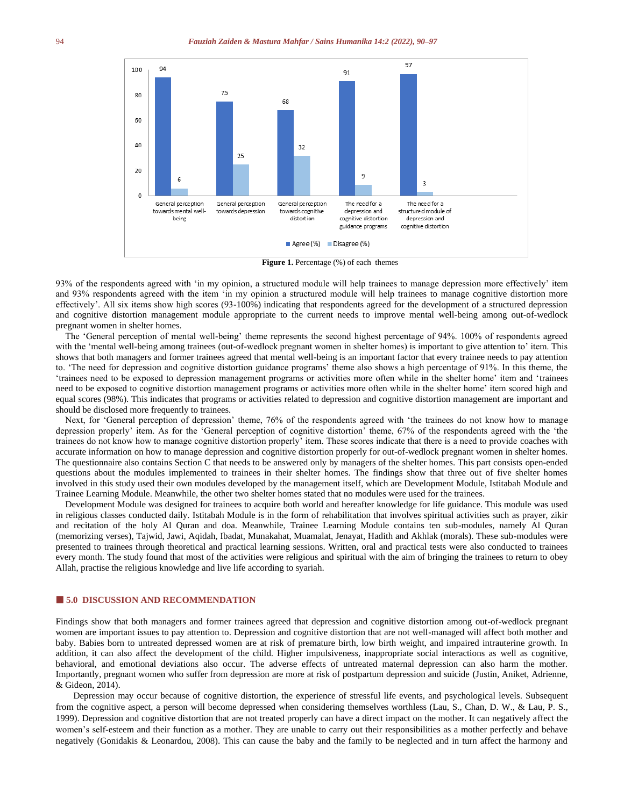

**Figure 1.** Percentage (%) of each themes

93% of the respondents agreed with 'in my opinion, a structured module will help trainees to manage depression more effectively' item and 93% respondents agreed with the item 'in my opinion a structured module will help trainees to manage cognitive distortion more effectively'. All six items show high scores (93-100%) indicating that respondents agreed for the development of a structured depression and cognitive distortion management module appropriate to the current needs to improve mental well-being among out-of-wedlock pregnant women in shelter homes.

The 'General perception of mental well-being' theme represents the second highest percentage of 94%. 100% of respondents agreed with the 'mental well-being among trainees (out-of-wedlock pregnant women in shelter homes) is important to give attention to' item. This shows that both managers and former trainees agreed that mental well-being is an important factor that every trainee needs to pay attention to. 'The need for depression and cognitive distortion guidance programs' theme also shows a high percentage of 91%. In this theme, the 'trainees need to be exposed to depression management programs or activities more often while in the shelter home' item and 'trainees need to be exposed to cognitive distortion management programs or activities more often while in the shelter home' item scored high and equal scores (98%). This indicates that programs or activities related to depression and cognitive distortion management are important and should be disclosed more frequently to trainees.

Next, for 'General perception of depression' theme, 76% of the respondents agreed with 'the trainees do not know how to manage depression properly' item. As for the 'General perception of cognitive distortion' theme, 67% of the respondents agreed with the 'the trainees do not know how to manage cognitive distortion properly' item. These scores indicate that there is a need to provide coaches with accurate information on how to manage depression and cognitive distortion properly for out-of-wedlock pregnant women in shelter homes. The questionnaire also contains Section C that needs to be answered only by managers of the shelter homes. This part consists open-ended questions about the modules implemented to trainees in their shelter homes. The findings show that three out of five shelter homes involved in this study used their own modules developed by the management itself, which are Development Module, Istitabah Module and Trainee Learning Module. Meanwhile, the other two shelter homes stated that no modules were used for the trainees.

Development Module was designed for trainees to acquire both world and hereafter knowledge for life guidance. This module was used in religious classes conducted daily. Istitabah Module is in the form of rehabilitation that involves spiritual activities such as prayer, zikir and recitation of the holy Al Quran and doa. Meanwhile, Trainee Learning Module contains ten sub-modules, namely Al Quran (memorizing verses), Tajwid, Jawi, Aqidah, Ibadat, Munakahat, Muamalat, Jenayat, Hadith and Akhlak (morals). These sub-modules were presented to trainees through theoretical and practical learning sessions. Written, oral and practical tests were also conducted to trainees every month. The study found that most of the activities were religious and spiritual with the aim of bringing the trainees to return to obey Allah, practise the religious knowledge and live life according to syariah.

## **5.0 DISCUSSION AND RECOMMENDATION**

Findings show that both managers and former trainees agreed that depression and cognitive distortion among out-of-wedlock pregnant women are important issues to pay attention to. Depression and cognitive distortion that are not well-managed will affect both mother and baby. Babies born to untreated depressed women are at risk of premature birth, low birth weight, and impaired intrauterine growth. In addition, it can also affect the development of the child. Higher impulsiveness, inappropriate social interactions as well as cognitive, behavioral, and emotional deviations also occur. The adverse effects of untreated maternal depression can also harm the mother. Importantly, pregnant women who suffer from depression are more at risk of postpartum depression and suicide (Justin, Aniket, Adrienne, & Gideon, 2014).

Depression may occur because of cognitive distortion, the experience of stressful life events, and psychological levels. Subsequent from the cognitive aspect, a person will become depressed when considering themselves worthless (Lau, S., Chan, D. W., & Lau, P. S., 1999). Depression and cognitive distortion that are not treated properly can have a direct impact on the mother. It can negatively affect the women's self-esteem and their function as a mother. They are unable to carry out their responsibilities as a mother perfectly and behave negatively (Gonidakis & Leonardou, 2008). This can cause the baby and the family to be neglected and in turn affect the harmony and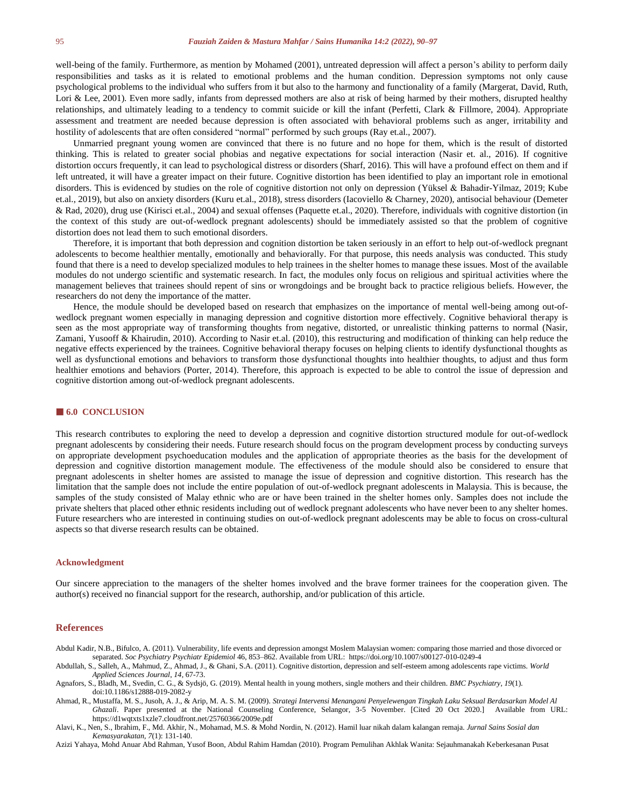well-being of the family. Furthermore, as mention by Mohamed (2001), untreated depression will affect a person's ability to perform daily responsibilities and tasks as it is related to emotional problems and the human condition. Depression symptoms not only cause psychological problems to the individual who suffers from it but also to the harmony and functionality of a family (Margerat, David, Ruth, Lori & Lee, 2001). Even more sadly, infants from depressed mothers are also at risk of being harmed by their mothers, disrupted healthy relationships, and ultimately leading to a tendency to commit suicide or kill the infant (Perfetti, Clark & Fillmore, 2004). Appropriate assessment and treatment are needed because depression is often associated with behavioral problems such as anger, irritability and hostility of adolescents that are often considered "normal" performed by such groups (Ray et.al., 2007).

Unmarried pregnant young women are convinced that there is no future and no hope for them, which is the result of distorted thinking. This is related to greater social phobias and negative expectations for social interaction (Nasir et. al., 2016). If cognitive distortion occurs frequently, it can lead to psychological distress or disorders (Sharf, 2016). This will have a profound effect on them and if left untreated, it will have a greater impact on their future. Cognitive distortion has been identified to play an important role in emotional disorders. This is evidenced by studies on the role of cognitive distortion not only on depression (Yüksel & Bahadir‐Yilmaz, 2019; Kube et.al., 2019), but also on anxiety disorders (Kuru et.al., 2018), stress disorders (Iacoviello & Charney, 2020), antisocial behaviour (Demeter & Rad, 2020), drug use (Kirisci et.al., 2004) and sexual offenses (Paquette et.al., 2020). Therefore, individuals with cognitive distortion (in the context of this study are out-of-wedlock pregnant adolescents) should be immediately assisted so that the problem of cognitive distortion does not lead them to such emotional disorders.

Therefore, it is important that both depression and cognition distortion be taken seriously in an effort to help out-of-wedlock pregnant adolescents to become healthier mentally, emotionally and behaviorally. For that purpose, this needs analysis was conducted. This study found that there is a need to develop specialized modules to help trainees in the shelter homes to manage these issues. Most of the available modules do not undergo scientific and systematic research. In fact, the modules only focus on religious and spiritual activities where the management believes that trainees should repent of sins or wrongdoings and be brought back to practice religious beliefs. However, the researchers do not deny the importance of the matter.

Hence, the module should be developed based on research that emphasizes on the importance of mental well-being among out-ofwedlock pregnant women especially in managing depression and cognitive distortion more effectively. Cognitive behavioral therapy is seen as the most appropriate way of transforming thoughts from negative, distorted, or unrealistic thinking patterns to normal (Nasir, Zamani, Yusooff & Khairudin, 2010). According to Nasir et.al. (2010), this restructuring and modification of thinking can help reduce the negative effects experienced by the trainees. Cognitive behavioral therapy focuses on helping clients to identify dysfunctional thoughts as well as dysfunctional emotions and behaviors to transform those dysfunctional thoughts into healthier thoughts, to adjust and thus form healthier emotions and behaviors (Porter, 2014). Therefore, this approach is expected to be able to control the issue of depression and cognitive distortion among out-of-wedlock pregnant adolescents.

## **6.0 CONCLUSION**

This research contributes to exploring the need to develop a depression and cognitive distortion structured module for out-of-wedlock pregnant adolescents by considering their needs. Future research should focus on the program development process by conducting surveys on appropriate development psychoeducation modules and the application of appropriate theories as the basis for the development of depression and cognitive distortion management module. The effectiveness of the module should also be considered to ensure that pregnant adolescents in shelter homes are assisted to manage the issue of depression and cognitive distortion. This research has the limitation that the sample does not include the entire population of out-of-wedlock pregnant adolescents in Malaysia. This is because, the samples of the study consisted of Malay ethnic who are or have been trained in the shelter homes only. Samples does not include the private shelters that placed other ethnic residents including out of wedlock pregnant adolescents who have never been to any shelter homes. Future researchers who are interested in continuing studies on out-of-wedlock pregnant adolescents may be able to focus on cross-cultural aspects so that diverse research results can be obtained.

#### **Acknowledgment**

Our sincere appreciation to the managers of the shelter homes involved and the brave former trainees for the cooperation given. The author(s) received no financial support for the research, authorship, and/or publication of this article.

### **References**

Abdul Kadir, N.B., Bifulco, A. (2011). Vulnerability, life events and depression amongst Moslem Malaysian women: comparing those married and those divorced or separated. *Soc Psychiatry Psychiatr Epidemiol* 46, 853–862. Available from URL: https://doi.org/10.1007/s00127-010-0249-4

Abdullah, S., Salleh, A., Mahmud, Z., Ahmad, J., & Ghani, S.A. (2011). Cognitive distortion, depression and self-esteem among adolescents rape victims. *World Applied Sciences Journal*, *14*, 67-73.

- Agnafors, S., Bladh, M., Svedin, C. G., & Sydsjö, G. (2019). Mental health in young mothers, single mothers and their children. *BMC Psychiatry, 19*(1). doi:10.1186/s12888-019-2082-y
- Ahmad, R., Mustaffa, M. S., Jusoh, A. J., & Arip, M. A. S. M. (2009). *Strategi Intervensi Menangani Penyelewengan Tingkah Laku Seksual Berdasarkan Model Al Ghazali*. Paper presented at the National Counseling Conference, Selangor, 3-5 November. [Cited 20 Oct 2020.] Available from URL: https://d1wqtxts1xzle7.cloudfront.net/25760366/2009e.pdf

Alavi, K., Nen, S., Ibrahim, F., Md. Akhir, N., Mohamad, M.S. & Mohd Nordin, N. (2012). Hamil luar nikah dalam kalangan remaja. *Jurnal Sains Sosial dan Kemasyarakatan, 7*(1): 131-140.

Azizi Yahaya, Mohd Anuar Abd Rahman, Yusof Boon, Abdul Rahim Hamdan (2010). Program Pemulihan Akhlak Wanita: Sejauhmanakah Keberkesanan Pusat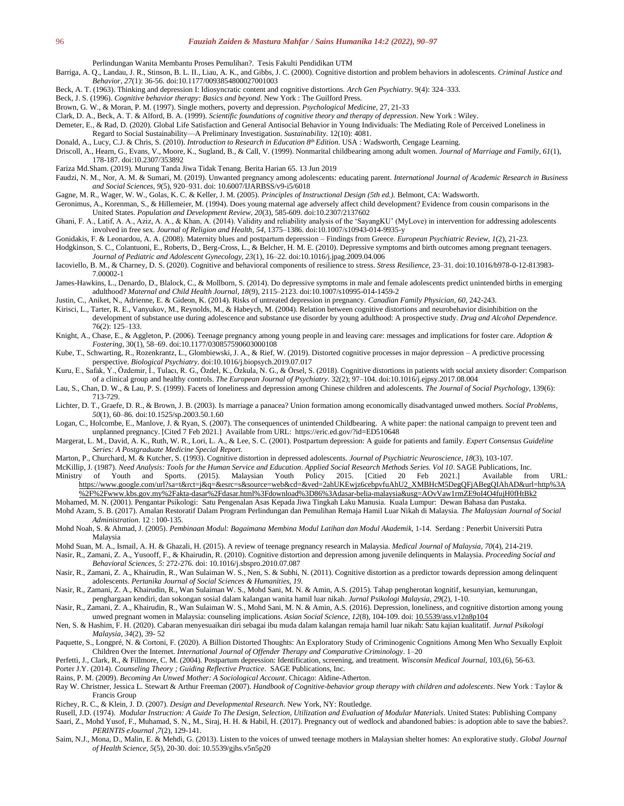Perlindungan Wanita Membantu Proses Pemulihan?. Tesis Fakulti Pendidikan UTM

Barriga, A. Q., Landau, J. R., Stinson, B. L. II., Liau, A. K., and Gibbs, J. C. (2000). Cognitive distortion and problem behaviors in adolescents. *Criminal Justice and Behavior, 27*(1): 36-56. doi:10.1177/0093854800027001003

Beck, A. T. (1963). Thinking and depression I: Idiosyncratic content and cognitive distortions. *Arch Gen Psychiatry*. 9(4): 324–333.

- Beck, J. S. (1996). *Cognitive behavior therapy: Basics and beyond*. New York : The Guilford Press.
- Brown, G. W., & Moran, P. M. (1997). Single mothers, poverty and depression. *Psychological Medicine,* 27, 21-33

Clark, D. A., Beck, A. T. & Alford, B. A. (1999). *Scientific foundations of cognitive theory and therapy of depression*. New York : Wiley.

Demeter, E., & Rad, D. (2020). Global Life Satisfaction and General Antisocial Behavior in Young Individuals: The Mediating Role of Perceived Loneliness in Regard to Social Sustainability—A Preliminary Investigation. *Sustainability*. 12(10): 4081.

Donald, A., Lucy, C.J. & Chris, S. (2010). *Introduction to Research in Education 8th Edition*. USA : Wadsworth, Cengage Learning.

Driscoll, A., Hearn, G., Evans, V., Moore, K., Sugland, B., & Call, V. (1999). Nonmarital childbearing among adult women. *Journal of Marriage and Family*, *61*(1), 178-187. doi:10.2307/353892

Fariza Md.Sham. (2019). Murung Tanda Jiwa Tidak Tenang. Berita Harian 65. 13 Jun 2019

- Faudzi, N. M., Nor, A. M. & Sumari, M. (2019). Unwanted pregnancy among adolescents: educating parent. *International Journal of Academic Research in Business and Social Sciences, 9*(5), 920–931. doi: 10.6007/IJARBSS/v9-i5/6018
- Gagne, M. R., Wager, W. W., Golas, K. C. & Keller, J. M. (2005). *Principles of Instructional Design (5th ed.).* Belmont, CA: Wadsworth.
- Geronimus, A., Korenman, S., & Hillemeier, M. (1994). Does young maternal age adversely affect child development? Evidence from cousin comparisons in the United States. *Population and Development Review, 20*(3), 585-609. doi:10.2307/2137602
- Ghani, F. A., Latif, A. A., Aziz, A. A., & Khan, A. (2014). Validity and reliability analysis of the 'SayangKU' (MyLove) in intervention for addressing adolescents involved in free sex. *Journal of Religion and Health, 54*, 1375–1386. doi:10.1007/s10943-014-9935-y

Gonidakis, F. & Leonardou, A. A. (2008). Maternity blues and postpartum depression – Findings from Greece. *European Psychiatric Review*, *1*(2), 21-23.

- Hodgkinson, S. C., Colantuoni, E., Roberts, D., Berg-Cross, L., & Belcher, H. M. E. (2010). Depressive symptoms and birth outcomes among pregnant teenagers. *Journal of Pediatric and Adolescent Gynecology, 23*(1), 16–22. doi:10.1016/j.jpag.2009.04.006
- Iacoviello, B. M., & Charney, D. S. (2020). Cognitive and behavioral components of resilience to stress. *Stress Resilience*, 23–31. doi:10.1016/b978-0-12-813983- 7.00002-1
- James-Hawkins, L., Denardo, D., Blalock, C., & Mollborn, S. (2014). Do depressive symptoms in male and female adolescents predict unintended births in emerging adulthood? *Maternal and Child Health Journal, 18*(9), 2115–2123. doi:10.1007/s10995-014-1459-2
- Justin, C., Aniket, N., Adrienne, E. & Gideon, K. (2014). Risks of untreated depression in pregnancy. *Canadian Family Physician, 60*, 242-243.
- Kirisci, L., Tarter, R. E., Vanyukov, M., Reynolds, M., & Habeych, M. (2004). Relation between cognitive distortions and neurobehavior disinhibition on the development of substance use during adolescence and substance use disorder by young adulthood: A prospective study. *Drug and Alcohol Dependence*. 76(2): 125–133.
- Knight, A., Chase, E., & Aggleton, P. (2006). Teenage pregnancy among young people in and leaving care: messages and implications for foster care. *Adoption & Fostering*, 30(1), 58–69. doi:10.1177/030857590603000108
- Kube, T., Schwarting, R., Rozenkrantz, L., Glombiewski, J. A., & Rief, W. (2019). Distorted cognitive processes in major depression A predictive processing perspective. *Biological Psychiatry*. doi:10.1016/j.biopsych.2019.07.017
- Kuru, E., Safak, Y., Özdemir, İ., Tulacı, R. G., Özdel, K., Özkula, N. G., & Örsel, S. (2018). Cognitive distortions in patients with social anxiety disorder: Comparison of a clinical group and healthy controls. *The European Journal of Psychiatry*. 32(2); 97–104. doi:10.1016/j.ejpsy.2017.08.004
- Lau, S., Chan, D. W., & Lau, P. S. (1999). Facets of loneliness and depression among Chinese children and adolescents. *The Journal of Social Psychology*, 139(6): 713-729.
- Lichter, D. T., Graefe, D. R., & Brown, J. B. (2003). Is marriage a panacea? Union formation among economically disadvantaged unwed mothers. *Social Problems, 50*(1), 60–86*.* doi:10.1525/sp.2003.50.1.60
- Logan, C., Holcombe, E., Manlove, J. & Ryan, S. (2007). The consequences of unintended Childbearing. A white paper: the national campaign to prevent teen and unplanned pregnancy. [Cited 7 Feb 2021.] Available from URL: https://eric.ed.gov/?id=ED510648
- Margerat, L. M., David, A. K., Ruth, W. R., Lori, L. A., & Lee, S. C. (2001). Postpartum depression: A guide for patients and family. *Expert Consensus Guideline Series: A Postgraduate Medicine Special Report.*
- Marton, P., Churchard, M. & Kutcher, S. (1993). Cognitive distortion in depressed adolescents. *Journal of Psychiatric Neuroscience*, *18*(3), 103-107.
- McKillip, J. (1987). *Need Analysis: Tools for the Human Service and Education*. *Applied Social Research Methods Series. Vol 10*. SAGE Publications, Inc. Ministry of Youth and Sports. (2015). Malaysian Youth Policy 2015. [Citied 20 Feb 2021.] [https://www.google.com/url?sa=t&rct=j&q=&esrc=s&source=web&cd=&ved=2ahUKEwjz6cebpvfuAhU2\\_XMBHcM5DegQFjABegQIAhAD&url=http%3A](https://www.google.com/url?sa=t&rct=j&q=&esrc=s&source=web&cd=&ved=2ahUKEwjz6cebpvfuAhU2_XMBHcM5DegQFjABegQIAhAD&url=http%3A%2F%2Fwww.kbs.gov.my%2Fakta-dasar%2Fdasar.html%3Fdownload%3D86%3Adasar-belia-malaysia&usg=AOvVaw1rmZE9oI4O4fujH0fHtBk2)

[%2F%2Fwww.kbs.gov.my%2Fakta-dasar%2Fdasar.html%3Fdownload%3D86%3Adasar-belia-malaysia&usg=AOvVaw1rmZE9oI4O4fujH0fHtBk2](https://www.google.com/url?sa=t&rct=j&q=&esrc=s&source=web&cd=&ved=2ahUKEwjz6cebpvfuAhU2_XMBHcM5DegQFjABegQIAhAD&url=http%3A%2F%2Fwww.kbs.gov.my%2Fakta-dasar%2Fdasar.html%3Fdownload%3D86%3Adasar-belia-malaysia&usg=AOvVaw1rmZE9oI4O4fujH0fHtBk2) Mohamed, M. N. (2001). Pengantar Psikologi: Satu Pengenalan Asas Kepada Jiwa Tingkah Laku Manusia. Kuala Lumpur: Dewan Bahasa dan Pustaka.

- Mohd Azam, S. B. (2017). Amalan Restoratif Dalam Program Perlindungan dan Pemulihan Remaja Hamil Luar Nikah di Malaysia. *The Malaysian Journal of Social Administration*. 12 : 100-135.
- Mohd Noah, S. & Ahmad, J. (2005). *Pembinaan Modul: Bagaimana Membina Modul Latihan dan Modul Akademik,* 1-14. Serdang : Penerbit Universiti Putra Malaysia
- Mohd Suan, M. A., Ismail, A. H. & Ghazali, H. (2015). A review of teenage pregnancy research in Malaysia. *Medical Journal of Malaysia, 70*(4), 214-219.
- Nasir, R., Zamani, Z. A., Yusooff, F., & Khairudin, R. (2010). Cognitive distortion and depression among juvenile delinquents in Malaysia. *Proceeding Social and Behavioral Sciences, 5*: 272-276. doi: 10.1016/j.sbspro.2010.07.087
- Nasir, R., Zamani, Z. A., Khairudin, R., Wan Sulaiman W. S., Nen, S. & Subhi, N. (2011). Cognitive distortion as a predictor towards depression among delinquent adolescents. *Pertanika Journal of Social Sciences & Humanities, 19*.
- Nasir, R., Zamani, Z. A., Khairudin, R., Wan Sulaiman W. S., Mohd Sani, M. N. & Amin, A.S. (2015). Tahap pengherotan kognitif, kesunyian, kemurungan, penghargaan kendiri, dan sokongan sosial dalam kalangan wanita hamil luar nikah. *Jurnal Psikologi Malaysia*, *29*(2), 1-10.
- Nasir, R., Zamani, Z. A., Khairudin, R., Wan Sulaiman W. S., Mohd Sani, M. N. & Amin, A.S. (2016). Depression, loneliness, and cognitive distortion among young unwed pregnant women in Malaysia: counseling implications. *Asian Social Science, 12*(8), 104-109. doi[: 10.5539/ass.v12n8p104](https://www.researchgate.net/deref/http%3A%2F%2Fdx.doi.org%2F10.5539%2Fass.v12n8p104)
- Nen, S. & Hashim, F. H. (2020). Cabaran menyesuaikan diri sebagai ibu muda dalam kalangan remaja hamil luar nikah: Satu kajian kualitatif. *Jurnal Psikologi Malaysia, 34*(2), 39- 52
- Paquette, S., Longpré, N. & Cortoni, F. (2020). A Billion Distorted Thoughts: An Exploratory Study of Criminogenic Cognitions Among Men Who Sexually Exploit Children Over the Internet. *International Journal of Offender Therapy and Comparative Criminology*. 1–20
- Perfetti, J., Clark, R., & Fillmore, C. M. (2004). Postpartum depression: Identification, screening, and treatment. *Wisconsin Medical Journal*, 103,(6), 56-63.

Porter J.Y. (2014). *Counseling Theory ; Guiding Reflective Practice*. SAGE Publications, Inc.

- Rains, P. M. (2009). *Becoming An Unwed Mother: A Sociological Account*. Chicago: Aldine-Atherton.
- Ray W. Christner, Jessica L. Stewart & Arthur Freeman (2007). *Handbook of Cognitive-behavior group therapy with children and adolescents*. New York : Taylor & Francis Group
- Richey, R. C., & Klein, J. D. (2007). *Design and Developmental Research*. New York, NY: Routledge.
- Rusell, J.D. (1974). *Modular Instruction: A Guide To The Design, Selection, Utilization and Evaluation of Modular Materials*. United States: Publishing Company
- Saari, Z., Mohd Yusof, F., Muhamad, S. N., M., Siraj, H. H. & Habil, H. (2017). Pregnancy out of wedlock and abandoned babies: is adoption able to save the babies?. *PERINTIS eJournal ,7*(2), 129-141.
- Saim, N.J., Mona, D., Malin, E. & Mehdi, G. (2013). Listen to the voices of unwed teenage mothers in Malaysian shelter homes: An explorative study. *Global Journal of Health Science, 5*(5), 20-30. doi: 10.5539/gjhs.v5n5p20